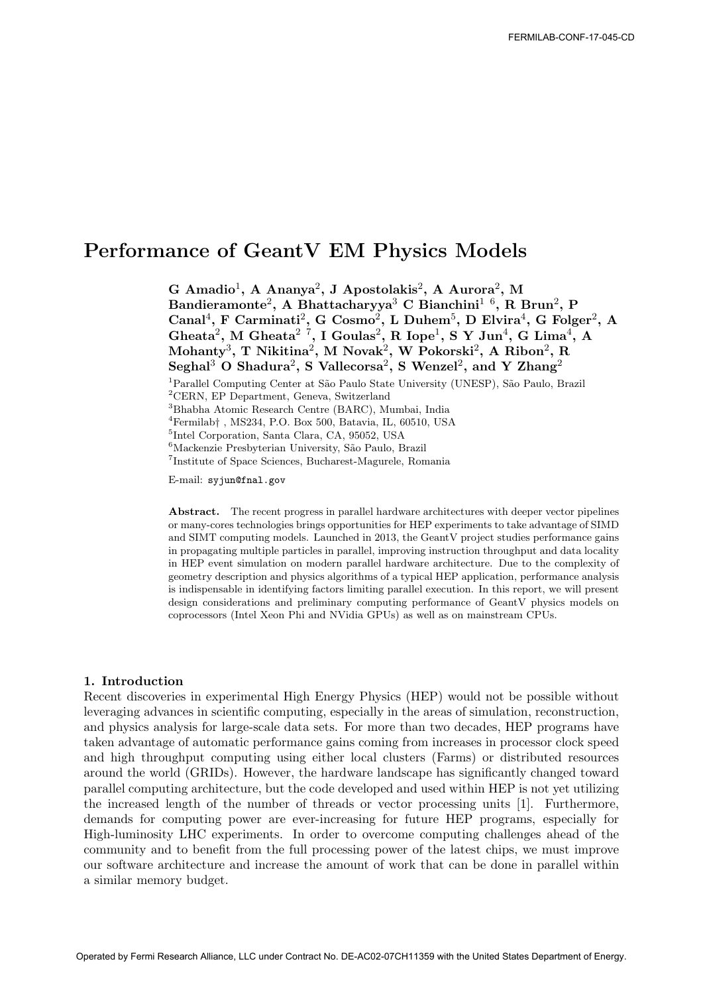# Performance of GeantV EM Physics Models

G Amadio<sup>1</sup>, A Ananya<sup>2</sup>, J Apostolakis<sup>2</sup>, A Aurora<sup>2</sup>, M Bandieramonte<sup>2</sup>, A Bhattacharyya<sup>3</sup> C Bianchini<sup>1 6</sup>, R Brun<sup>2</sup>, P Canal<sup>4</sup>, F Carminati<sup>2</sup>, G Cosmo<sup>2</sup>, L Duhem<sup>5</sup>, D Elvira<sup>4</sup>, G Folger<sup>2</sup>, A Gheata<sup>2</sup>, M Gheata<sup>2</sup><sup>7</sup>, I Goulas<sup>2</sup>, R Iope<sup>1</sup>, S Y Jun<sup>4</sup>, G Lima<sup>4</sup>, A  $\text{Mohanty}^3$ , T Nikitina<sup>2</sup>, M Novak<sup>2</sup>, W Pokorski<sup>2</sup>, A Ribon<sup>2</sup>, R Seghal<sup>3</sup> O Shadura<sup>2</sup>, S Vallecorsa<sup>2</sup>, S Wenzel<sup>2</sup>, and Y Zhang<sup>2</sup> <sup>1</sup> Parallel Computing Center at São Paulo State University (UNESP), São Paulo, Brazil <sup>2</sup>CERN, EP Department, Geneva, Switzerland <sup>3</sup>Bhabha Atomic Research Centre (BARC), Mumbai, India  ${}^{4}\mathrm{Fermilab} \dagger$  , MS234, P.O. Box 500, Batavia, IL, 60510, USA 5 Intel Corporation, Santa Clara, CA, 95052, USA <sup>6</sup>Mackenzie Presbyterian University, São Paulo, Brazil

7 Institute of Space Sciences, Bucharest-Magurele, Romania

E-mail: syjun@fnal.gov

Abstract. The recent progress in parallel hardware architectures with deeper vector pipelines or many-cores technologies brings opportunities for HEP experiments to take advantage of SIMD and SIMT computing models. Launched in 2013, the GeantV project studies performance gains in propagating multiple particles in parallel, improving instruction throughput and data locality in HEP event simulation on modern parallel hardware architecture. Due to the complexity of geometry description and physics algorithms of a typical HEP application, performance analysis is indispensable in identifying factors limiting parallel execution. In this report, we will present design considerations and preliminary computing performance of GeantV physics models on coprocessors (Intel Xeon Phi and NVidia GPUs) as well as on mainstream CPUs.

## 1. Introduction

Recent discoveries in experimental High Energy Physics (HEP) would not be possible without leveraging advances in scientific computing, especially in the areas of simulation, reconstruction, and physics analysis for large-scale data sets. For more than two decades, HEP programs have taken advantage of automatic performance gains coming from increases in processor clock speed and high throughput computing using either local clusters (Farms) or distributed resources around the world (GRIDs). However, the hardware landscape has significantly changed toward parallel computing architecture, but the code developed and used within HEP is not yet utilizing the increased length of the number of threads or vector processing units [1]. Furthermore, demands for computing power are ever-increasing for future HEP programs, especially for High-luminosity LHC experiments. In order to overcome computing challenges ahead of the community and to benefit from the full processing power of the latest chips, we must improve our software architecture and increase the amount of work that can be done in parallel within a similar memory budget.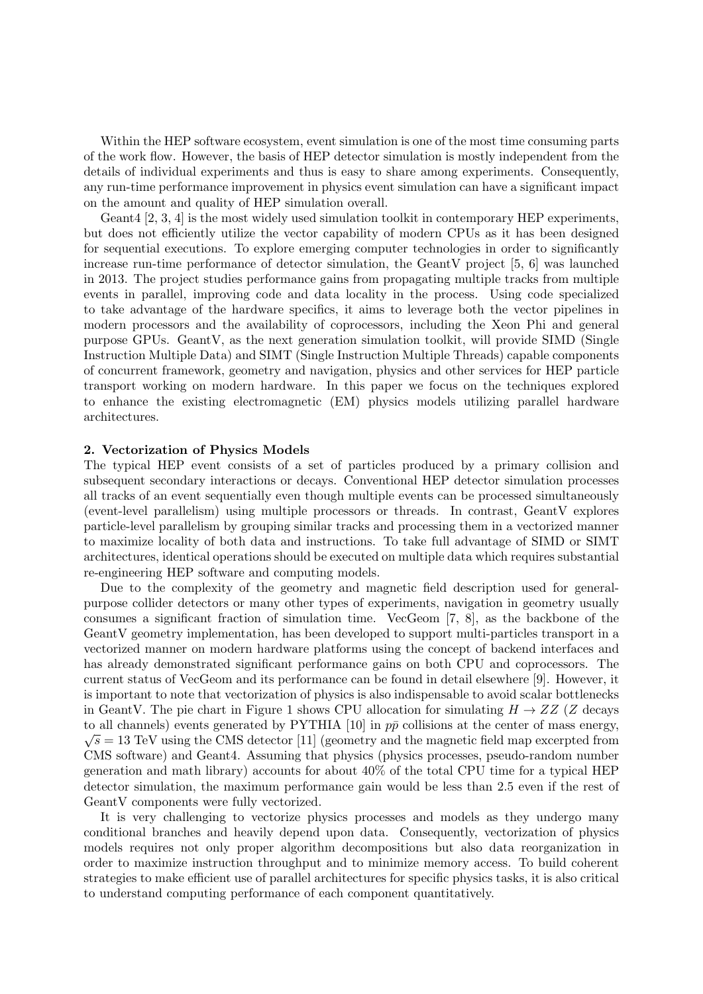Within the HEP software ecosystem, event simulation is one of the most time consuming parts of the work flow. However, the basis of HEP detector simulation is mostly independent from the details of individual experiments and thus is easy to share among experiments. Consequently, any run-time performance improvement in physics event simulation can have a significant impact on the amount and quality of HEP simulation overall.

Geant4 [2, 3, 4] is the most widely used simulation toolkit in contemporary HEP experiments, but does not efficiently utilize the vector capability of modern CPUs as it has been designed for sequential executions. To explore emerging computer technologies in order to significantly increase run-time performance of detector simulation, the GeantV project [5, 6] was launched in 2013. The project studies performance gains from propagating multiple tracks from multiple events in parallel, improving code and data locality in the process. Using code specialized to take advantage of the hardware specifics, it aims to leverage both the vector pipelines in modern processors and the availability of coprocessors, including the Xeon Phi and general purpose GPUs. GeantV, as the next generation simulation toolkit, will provide SIMD (Single Instruction Multiple Data) and SIMT (Single Instruction Multiple Threads) capable components of concurrent framework, geometry and navigation, physics and other services for HEP particle transport working on modern hardware. In this paper we focus on the techniques explored to enhance the existing electromagnetic (EM) physics models utilizing parallel hardware architectures.

#### 2. Vectorization of Physics Models

The typical HEP event consists of a set of particles produced by a primary collision and subsequent secondary interactions or decays. Conventional HEP detector simulation processes all tracks of an event sequentially even though multiple events can be processed simultaneously (event-level parallelism) using multiple processors or threads. In contrast, GeantV explores particle-level parallelism by grouping similar tracks and processing them in a vectorized manner to maximize locality of both data and instructions. To take full advantage of SIMD or SIMT architectures, identical operations should be executed on multiple data which requires substantial re-engineering HEP software and computing models.

Due to the complexity of the geometry and magnetic field description used for generalpurpose collider detectors or many other types of experiments, navigation in geometry usually consumes a significant fraction of simulation time. VecGeom [7, 8], as the backbone of the GeantV geometry implementation, has been developed to support multi-particles transport in a vectorized manner on modern hardware platforms using the concept of backend interfaces and has already demonstrated significant performance gains on both CPU and coprocessors. The current status of VecGeom and its performance can be found in detail elsewhere [9]. However, it is important to note that vectorization of physics is also indispensable to avoid scalar bottlenecks in GeantV. The pie chart in Figure 1 shows CPU allocation for simulating  $H \to ZZ$  (Z decays to all channels) events generated by PYTHIA [10] in  $p\bar{p}$  collisions at the center of mass energy,  $\sqrt{s} = 13$  TeV using the CMS detector [11] (geometry and the magnetic field map excerpted from CMS software) and Geant4. Assuming that physics (physics processes, pseudo-random number generation and math library) accounts for about 40% of the total CPU time for a typical HEP detector simulation, the maximum performance gain would be less than 2.5 even if the rest of GeantV components were fully vectorized.

It is very challenging to vectorize physics processes and models as they undergo many conditional branches and heavily depend upon data. Consequently, vectorization of physics models requires not only proper algorithm decompositions but also data reorganization in order to maximize instruction throughput and to minimize memory access. To build coherent strategies to make efficient use of parallel architectures for specific physics tasks, it is also critical to understand computing performance of each component quantitatively.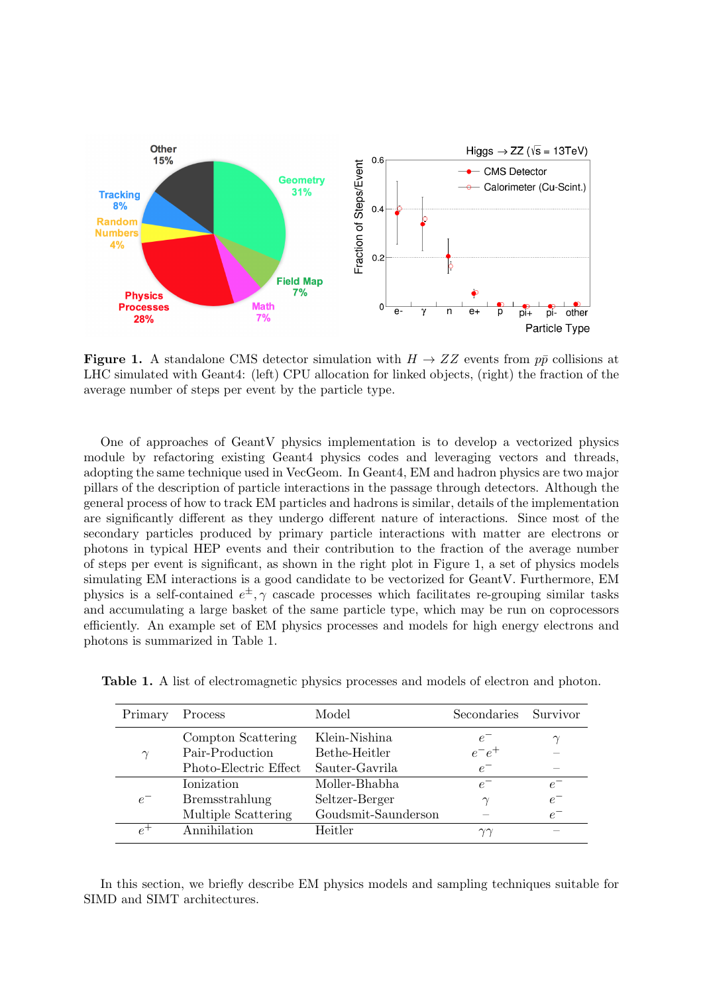

**Figure 1.** A standalone CMS detector simulation with  $H \to ZZ$  events from  $p\bar{p}$  collisions at LHC simulated with Geant4: (left) CPU allocation for linked objects, (right) the fraction of the average number of steps per event by the particle type.

One of approaches of GeantV physics implementation is to develop a vectorized physics module by refactoring existing Geant4 physics codes and leveraging vectors and threads, adopting the same technique used in VecGeom. In Geant4, EM and hadron physics are two major pillars of the description of particle interactions in the passage through detectors. Although the general process of how to track EM particles and hadrons is similar, details of the implementation are significantly different as they undergo different nature of interactions. Since most of the secondary particles produced by primary particle interactions with matter are electrons or photons in typical HEP events and their contribution to the fraction of the average number of steps per event is significant, as shown in the right plot in Figure 1, a set of physics models simulating EM interactions is a good candidate to be vectorized for GeantV. Furthermore, EM physics is a self-contained  $e^{\pm}$ ,  $\gamma$  cascade processes which facilitates re-grouping similar tasks and accumulating a large basket of the same particle type, which may be run on coprocessors efficiently. An example set of EM physics processes and models for high energy electrons and photons is summarized in Table 1.

| Primary | Process               | Model               | Secondaries    | Survivor |
|---------|-----------------------|---------------------|----------------|----------|
| $\sim$  | Compton Scattering    | Klein-Nishina       | $e^-$          |          |
|         | Pair-Production       | Bethe-Heitler       | $e^-e^+$       |          |
|         | Photo-Electric Effect | Sauter-Gavrila      | $e^-$          |          |
| $e^-$   | Ionization            | Moller-Bhabha       | $e^-$          | $e^{-}$  |
|         | Bremsstrahlung        | Seltzer-Berger      | $\gamma$       | $e^-$    |
|         | Multiple Scattering   | Goudsmit-Saunderson |                | $e^-$    |
|         | Annihilation          | Heitler             | $\gamma\gamma$ |          |

Table 1. A list of electromagnetic physics processes and models of electron and photon.

In this section, we briefly describe EM physics models and sampling techniques suitable for SIMD and SIMT architectures.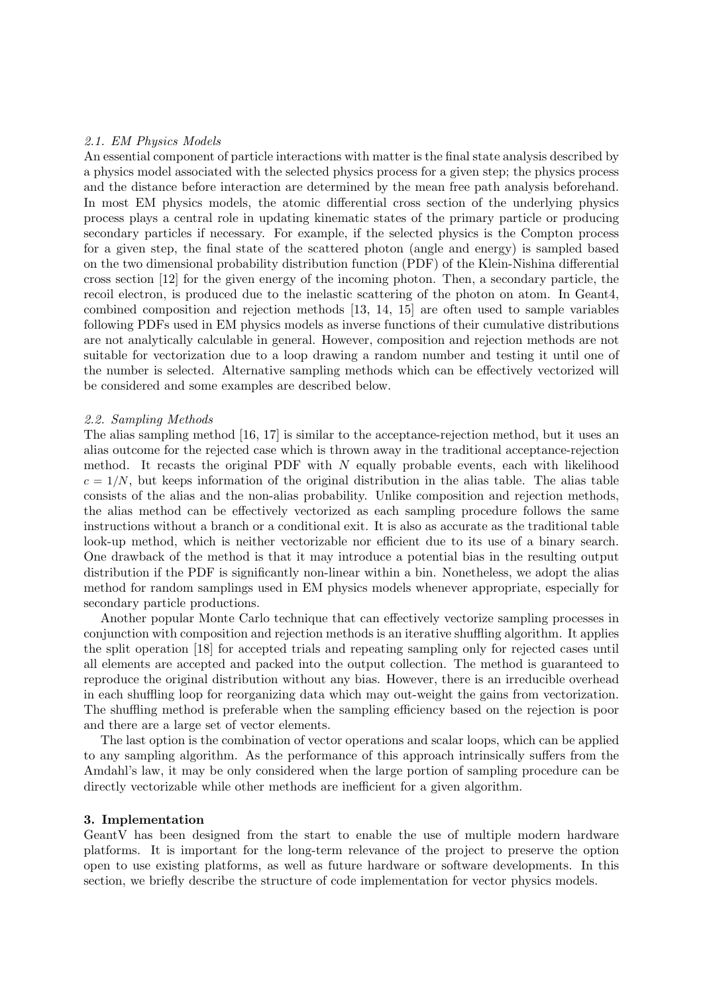## 2.1. EM Physics Models

An essential component of particle interactions with matter is the final state analysis described by a physics model associated with the selected physics process for a given step; the physics process and the distance before interaction are determined by the mean free path analysis beforehand. In most EM physics models, the atomic differential cross section of the underlying physics process plays a central role in updating kinematic states of the primary particle or producing secondary particles if necessary. For example, if the selected physics is the Compton process for a given step, the final state of the scattered photon (angle and energy) is sampled based on the two dimensional probability distribution function (PDF) of the Klein-Nishina differential cross section [12] for the given energy of the incoming photon. Then, a secondary particle, the recoil electron, is produced due to the inelastic scattering of the photon on atom. In Geant4, combined composition and rejection methods [13, 14, 15] are often used to sample variables following PDFs used in EM physics models as inverse functions of their cumulative distributions are not analytically calculable in general. However, composition and rejection methods are not suitable for vectorization due to a loop drawing a random number and testing it until one of the number is selected. Alternative sampling methods which can be effectively vectorized will be considered and some examples are described below.

## 2.2. Sampling Methods

The alias sampling method [16, 17] is similar to the acceptance-rejection method, but it uses an alias outcome for the rejected case which is thrown away in the traditional acceptance-rejection method. It recasts the original PDF with  $N$  equally probable events, each with likelihood  $c = 1/N$ , but keeps information of the original distribution in the alias table. The alias table consists of the alias and the non-alias probability. Unlike composition and rejection methods, the alias method can be effectively vectorized as each sampling procedure follows the same instructions without a branch or a conditional exit. It is also as accurate as the traditional table look-up method, which is neither vectorizable nor efficient due to its use of a binary search. One drawback of the method is that it may introduce a potential bias in the resulting output distribution if the PDF is significantly non-linear within a bin. Nonetheless, we adopt the alias method for random samplings used in EM physics models whenever appropriate, especially for secondary particle productions.

Another popular Monte Carlo technique that can effectively vectorize sampling processes in conjunction with composition and rejection methods is an iterative shuffling algorithm. It applies the split operation [18] for accepted trials and repeating sampling only for rejected cases until all elements are accepted and packed into the output collection. The method is guaranteed to reproduce the original distribution without any bias. However, there is an irreducible overhead in each shuffling loop for reorganizing data which may out-weight the gains from vectorization. The shuffling method is preferable when the sampling efficiency based on the rejection is poor and there are a large set of vector elements.

The last option is the combination of vector operations and scalar loops, which can be applied to any sampling algorithm. As the performance of this approach intrinsically suffers from the Amdahl's law, it may be only considered when the large portion of sampling procedure can be directly vectorizable while other methods are inefficient for a given algorithm.

## 3. Implementation

GeantV has been designed from the start to enable the use of multiple modern hardware platforms. It is important for the long-term relevance of the project to preserve the option open to use existing platforms, as well as future hardware or software developments. In this section, we briefly describe the structure of code implementation for vector physics models.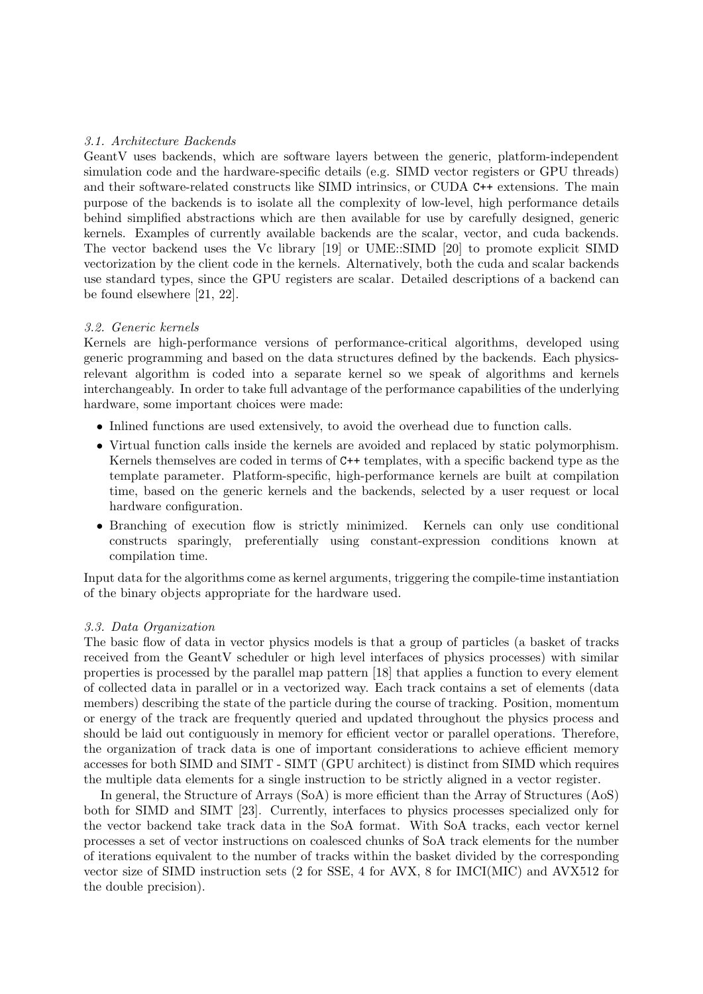# 3.1. Architecture Backends

GeantV uses backends, which are software layers between the generic, platform-independent simulation code and the hardware-specific details (e.g. SIMD vector registers or GPU threads) and their software-related constructs like SIMD intrinsics, or CUDA C++ extensions. The main purpose of the backends is to isolate all the complexity of low-level, high performance details behind simplified abstractions which are then available for use by carefully designed, generic kernels. Examples of currently available backends are the scalar, vector, and cuda backends. The vector backend uses the Vc library [19] or UME::SIMD [20] to promote explicit SIMD vectorization by the client code in the kernels. Alternatively, both the cuda and scalar backends use standard types, since the GPU registers are scalar. Detailed descriptions of a backend can be found elsewhere [21, 22].

## 3.2. Generic kernels

Kernels are high-performance versions of performance-critical algorithms, developed using generic programming and based on the data structures defined by the backends. Each physicsrelevant algorithm is coded into a separate kernel so we speak of algorithms and kernels interchangeably. In order to take full advantage of the performance capabilities of the underlying hardware, some important choices were made:

- Inlined functions are used extensively, to avoid the overhead due to function calls.
- Virtual function calls inside the kernels are avoided and replaced by static polymorphism. Kernels themselves are coded in terms of C++ templates, with a specific backend type as the template parameter. Platform-specific, high-performance kernels are built at compilation time, based on the generic kernels and the backends, selected by a user request or local hardware configuration.
- Branching of execution flow is strictly minimized. Kernels can only use conditional constructs sparingly, preferentially using constant-expression conditions known at compilation time.

Input data for the algorithms come as kernel arguments, triggering the compile-time instantiation of the binary objects appropriate for the hardware used.

## 3.3. Data Organization

The basic flow of data in vector physics models is that a group of particles (a basket of tracks received from the GeantV scheduler or high level interfaces of physics processes) with similar properties is processed by the parallel map pattern [18] that applies a function to every element of collected data in parallel or in a vectorized way. Each track contains a set of elements (data members) describing the state of the particle during the course of tracking. Position, momentum or energy of the track are frequently queried and updated throughout the physics process and should be laid out contiguously in memory for efficient vector or parallel operations. Therefore, the organization of track data is one of important considerations to achieve efficient memory accesses for both SIMD and SIMT - SIMT (GPU architect) is distinct from SIMD which requires the multiple data elements for a single instruction to be strictly aligned in a vector register.

In general, the Structure of Arrays (SoA) is more efficient than the Array of Structures (AoS) both for SIMD and SIMT [23]. Currently, interfaces to physics processes specialized only for the vector backend take track data in the SoA format. With SoA tracks, each vector kernel processes a set of vector instructions on coalesced chunks of SoA track elements for the number of iterations equivalent to the number of tracks within the basket divided by the corresponding vector size of SIMD instruction sets (2 for SSE, 4 for AVX, 8 for IMCI(MIC) and AVX512 for the double precision).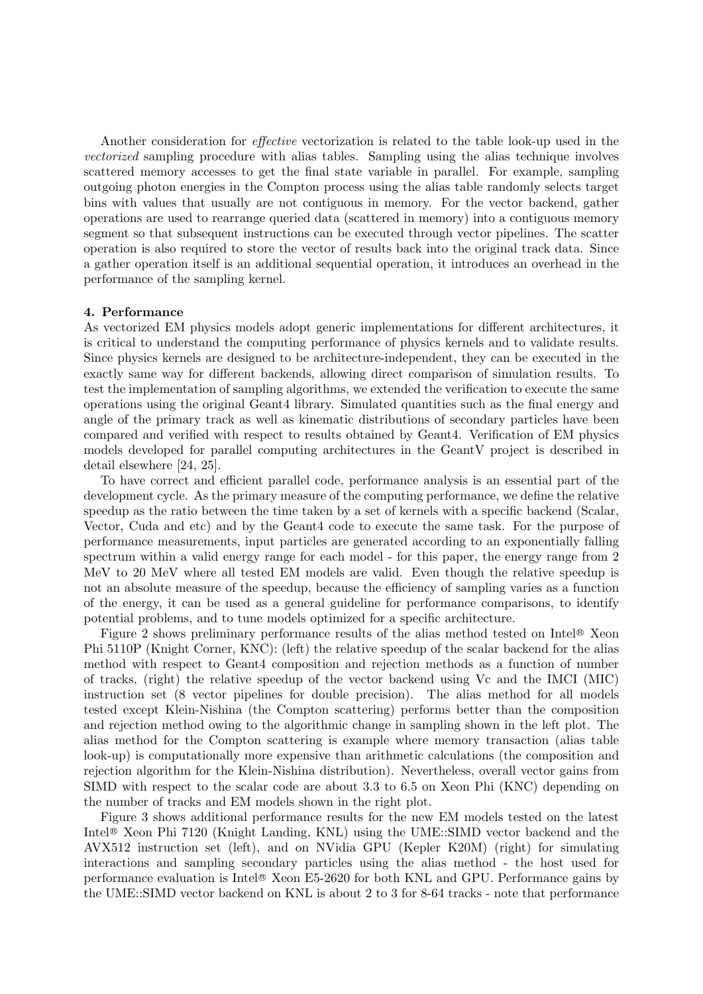Another consideration for effective vectorization is related to the table look-up used in the vectorized sampling procedure with alias tables. Sampling using the alias technique involves scattered memory accesses to get the final state variable in parallel. For example, sampling outgoing photon energies in the Compton process using the alias table randomly selects target bins with values that usually are not contiguous in memory. For the vector backend, gather operations are used to rearrange queried data (scattered in memory) into a contiguous memory segment so that subsequent instructions can be executed through vector pipelines. The scatter operation is also required to store the vector of results back into the original track data. Since a gather operation itself is an additional sequential operation, it introduces an overhead in the performance of the sampling kernel.

## 4. Performance

As vectorized EM physics models adopt generic implementations for different architectures, it is critical to understand the computing performance of physics kernels and to validate results. Since physics kernels are designed to be architecture-independent, they can be executed in the exactly same way for different backends, allowing direct comparison of simulation results. To test the implementation of sampling algorithms, we extended the verification to execute the same operations using the original Geant4 library. Simulated quantities such as the final energy and angle of the primary track as well as kinematic distributions of secondary particles have been compared and verified with respect to results obtained by Geant4. Verification of EM physics models developed for parallel computing architectures in the GeantV project is described in detail elsewhere [24, 25].

To have correct and efficient parallel code, performance analysis is an essential part of the development cycle. As the primary measure of the computing performance, we define the relative speedup as the ratio between the time taken by a set of kernels with a specific backend (Scalar, Vector, Cuda and etc) and by the Geant4 code to execute the same task. For the purpose of performance measurements, input particles are generated according to an exponentially falling spectrum within a valid energy range for each model - for this paper, the energy range from 2 MeV to 20 MeV where all tested EM models are valid. Even though the relative speedup is not an absolute measure of the speedup, because the efficiency of sampling varies as a function of the energy, it can be used as a general guideline for performance comparisons, to identify potential problems, and to tune models optimized for a specific architecture.

Figure 2 shows preliminary performance results of the alias method tested on Intel<sup>®</sup> Xeon Phi 5110P (Knight Corner, KNC): (left) the relative speedup of the scalar backend for the alias method with respect to Geant4 composition and rejection methods as a function of number of tracks, (right) the relative speedup of the vector backend using Vc and the IMCI (MIC) instruction set (8 vector pipelines for double precision). The alias method for all models tested except Klein-Nishina (the Compton scattering) performs better than the composition and rejection method owing to the algorithmic change in sampling shown in the left plot. The alias method for the Compton scattering is example where memory transaction (alias table look-up) is computationally more expensive than arithmetic calculations (the composition and rejection algorithm for the Klein-Nishina distribution). Nevertheless, overall vector gains from SIMD with respect to the scalar code are about 3.3 to 6.5 on Xeon Phi (KNC) depending on the number of tracks and EM models shown in the right plot.

Figure 3 shows additional performance results for the new EM models tested on the latest Intel<sup>®</sup> Xeon Phi 7120 (Knight Landing, KNL) using the UME::SIMD vector backend and the AVX512 instruction set (left), and on NVidia GPU (Kepler K20M) (right) for simulating interactions and sampling secondary particles using the alias method - the host used for performance evaluation is Intel <sup>R</sup> Xeon E5-2620 for both KNL and GPU. Performance gains by the UME::SIMD vector backend on KNL is about 2 to 3 for 8-64 tracks - note that performance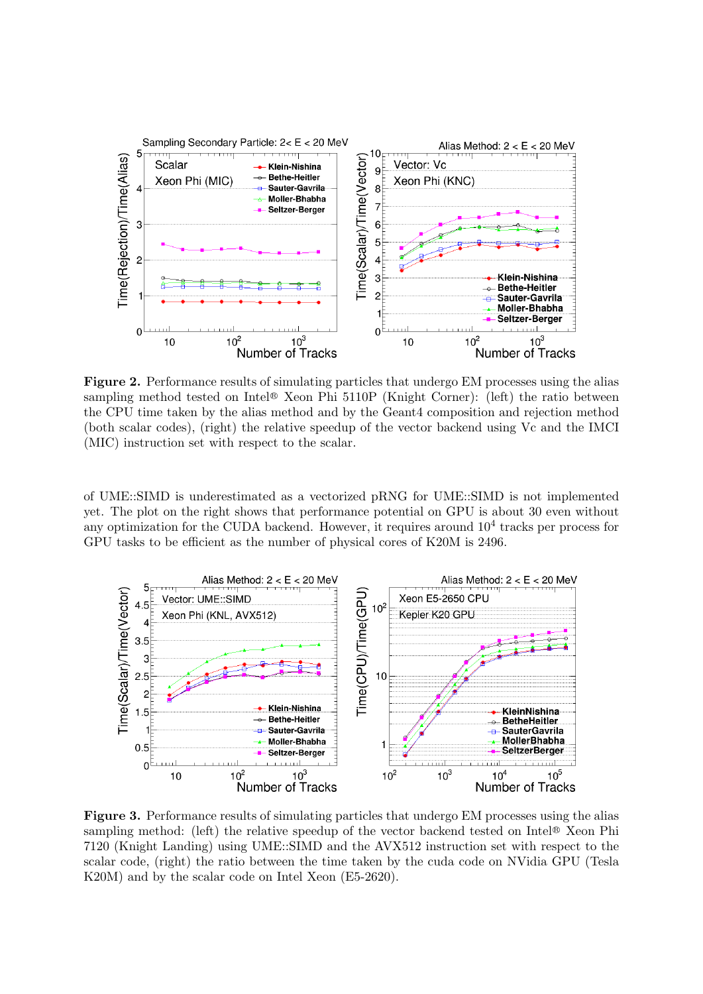

Figure 2. Performance results of simulating particles that undergo EM processes using the alias sampling method tested on Intel® Xeon Phi 5110P (Knight Corner): (left) the ratio between the CPU time taken by the alias method and by the Geant4 composition and rejection method (both scalar codes), (right) the relative speedup of the vector backend using Vc and the IMCI (MIC) instruction set with respect to the scalar.

of UME::SIMD is underestimated as a vectorized pRNG for UME::SIMD is not implemented yet. The plot on the right shows that performance potential on GPU is about 30 even without any optimization for the CUDA backend. However, it requires around  $10^4$  tracks per process for GPU tasks to be efficient as the number of physical cores of K20M is 2496.



Figure 3. Performance results of simulating particles that undergo EM processes using the alias sampling method: (left) the relative speedup of the vector backend tested on Intel<sup>®</sup> Xeon Phi 7120 (Knight Landing) using UME::SIMD and the AVX512 instruction set with respect to the scalar code, (right) the ratio between the time taken by the cuda code on NVidia GPU (Tesla K20M) and by the scalar code on Intel Xeon (E5-2620).